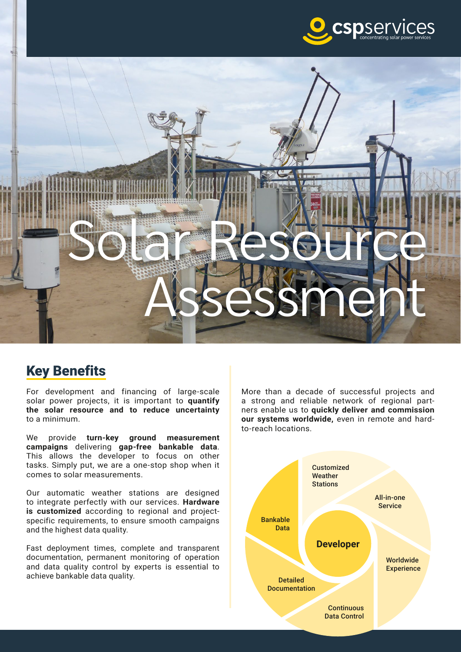



## Key Benefits

For development and financing of large-scale solar power projects, it is important to **quantify the solar resource and to reduce uncertainty** to a minimum.

We provide **turn-key ground measurement campaigns** delivering **gap-free bankable data**. This allows the developer to focus on other tasks. Simply put, we are a one-stop shop when it comes to solar measurements.

Our automatic weather stations are designed to integrate perfectly with our services. **Hardware is customized** according to regional and projectspecific requirements, to ensure smooth campaigns and the highest data quality.

Fast deployment times, complete and transparent documentation, permanent monitoring of operation and data quality control by experts is essential to achieve bankable data quality.

More than a decade of successful projects and a strong and reliable network of regional partners enable us to **quickly deliver and commission our systems worldwide,** even in remote and hardto-reach locations.